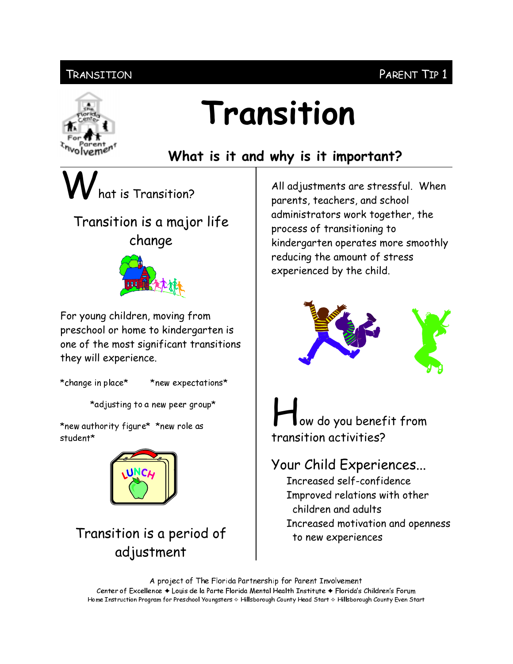#### Transition

# olvemen

## Transition

### What is it and why is it important?

at is Transition?

### Transition is a major life change



For young children, moving from preschool or home to kindergarten is one of the most significant transitions they will experience.

\*change in place\*

\*new expectations\*

\*adjusting to a new peer group\*

\*new authority figure\* \*new role as student\*



#### Transition is a period of adjustment

All adjustments are stressful. When parents, teachers, and school administrators work together, the process of transitioning to kindergarten operates more smoothly reducing the amount of stress experienced by the child.



ow do you benefit from transition activities?

Your Child Experiences... Increased self-confidence Improved relations with other children and adults Increased motivation and openness to new experiences

A project of The Florida Partnership for Parent Involvement Center of Excellence ♦ Louis de la Parte Florida Mental Health Institute ♦ Florida's Children's Forum Home Instruction Program for Preschool Youngsters & Hillsborough County Head Start & Hillsborough County Even Start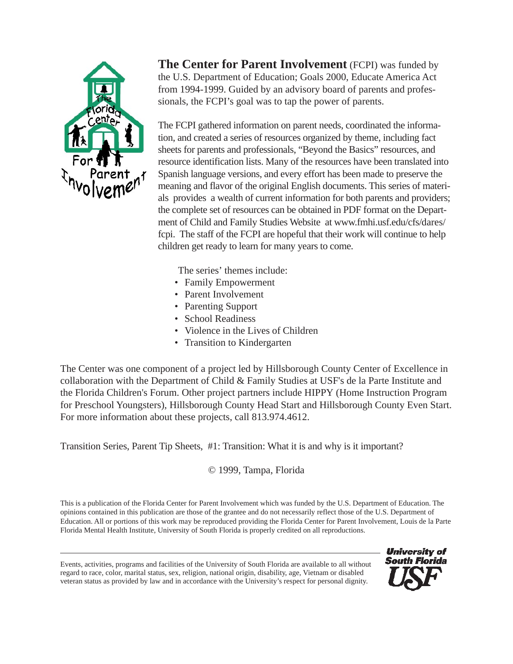

**The Center for Parent Involvement** (FCPI) was funded by the U.S. Department of Education; Goals 2000, Educate America Act from 1994-1999. Guided by an advisory board of parents and professionals, the FCPI's goal was to tap the power of parents.

The FCPI gathered information on parent needs, coordinated the information, and created a series of resources organized by theme, including fact sheets for parents and professionals, "Beyond the Basics" resources, and resource identification lists. Many of the resources have been translated into Spanish language versions, and every effort has been made to preserve the meaning and flavor of the original English documents. This series of materials provides a wealth of current information for both parents and providers; the complete set of resources can be obtained in PDF format on the Department of Child and Family Studies Website at www.fmhi.usf.edu/cfs/dares/ fcpi. The staff of the FCPI are hopeful that their work will continue to help children get ready to learn for many years to come.

The series' themes include:

- Family Empowerment
- Parent Involvement
- Parenting Support
- School Readiness
- Violence in the Lives of Children
- Transition to Kindergarten

The Center was one component of a project led by Hillsborough County Center of Excellence in collaboration with the Department of Child & Family Studies at USF's de la Parte Institute and the Florida Children's Forum. Other project partners include HIPPY (Home Instruction Program for Preschool Youngsters), Hillsborough County Head Start and Hillsborough County Even Start. For more information about these projects, call 813.974.4612.

Transition Series, Parent Tip Sheets, #1: Transition: What it is and why is it important?

© 1999, Tampa, Florida

This is a publication of the Florida Center for Parent Involvement which was funded by the U.S. Department of Education. The opinions contained in this publication are those of the grantee and do not necessarily reflect those of the U.S. Department of Education. All or portions of this work may be reproduced providing the Florida Center for Parent Involvement, Louis de la Parte Florida Mental Health Institute, University of South Florida is properly credited on all reproductions.

Events, activities, programs and facilities of the University of South Florida are available to all without regard to race, color, marital status, sex, religion, national origin, disability, age, Vietnam or disabled veteran status as provided by law and in accordance with the University's respect for personal dignity.